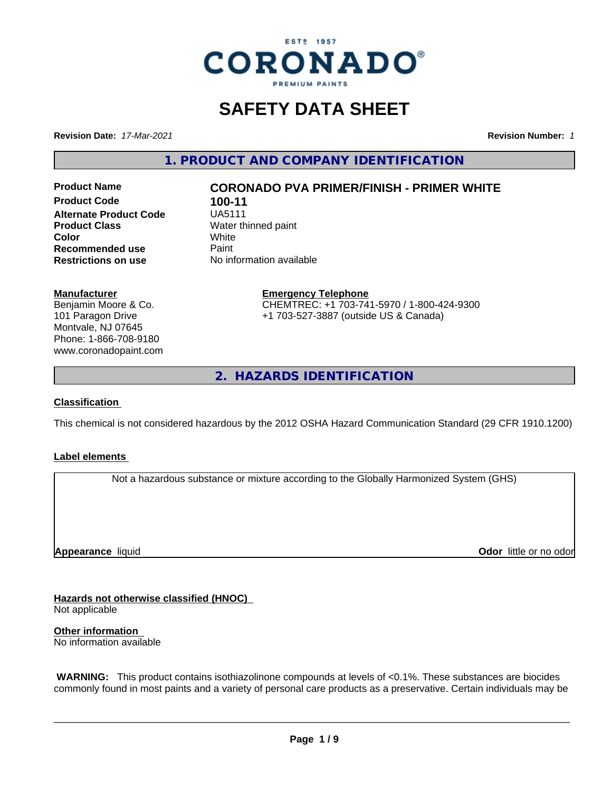

# **SAFETY DATA SHEET**

**Revision Date:** *17-Mar-2021* **Revision Number:** *1*

**1. PRODUCT AND COMPANY IDENTIFICATION**

**Product Code 100-11**<br>**Alternate Product Code 1145111 Alternate Product Code**<br>Product Class **Recommended use** Paint<br> **Restrictions on use** No inf

## **Product Name CORONADO PVA PRIMER/FINISH - PRIMER WHITE**

**Water thinned paint**<br>White **Color** White White **Restrictions on use** No information available

#### **Manufacturer**

Benjamin Moore & Co. 101 Paragon Drive Montvale, NJ 07645 Phone: 1-866-708-9180 www.coronadopaint.com

**Emergency Telephone**

CHEMTREC: +1 703-741-5970 / 1-800-424-9300 +1 703-527-3887 (outside US & Canada)

**2. HAZARDS IDENTIFICATION**

#### **Classification**

This chemical is not considered hazardous by the 2012 OSHA Hazard Communication Standard (29 CFR 1910.1200)

#### **Label elements**

Not a hazardous substance or mixture according to the Globally Harmonized System (GHS)

**Appearance** liquid

**Odor** little or no odor

**Hazards not otherwise classified (HNOC)** Not applicable

**Other information**

No information available

 **WARNING:** This product contains isothiazolinone compounds at levels of <0.1%. These substances are biocides commonly found in most paints and a variety of personal care products as a preservative. Certain individuals may be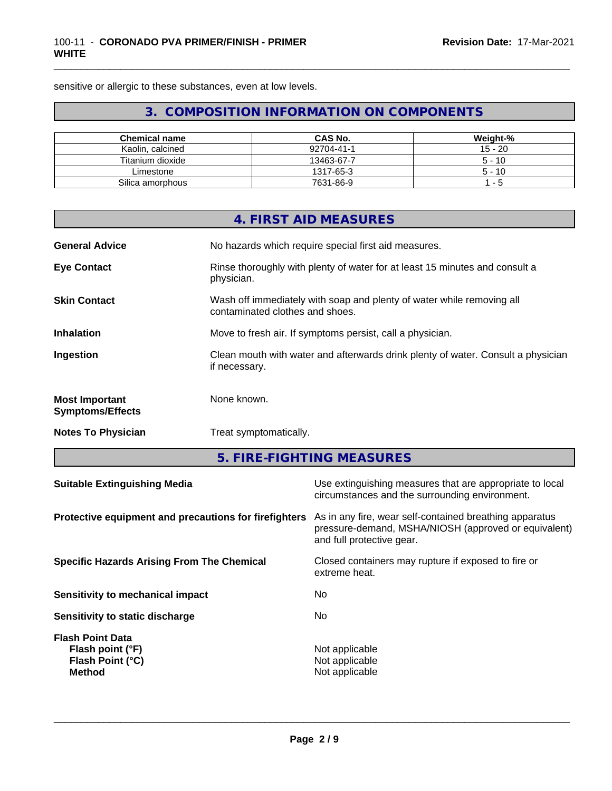sensitive or allergic to these substances, even at low levels.

## **3. COMPOSITION INFORMATION ON COMPONENTS**

\_\_\_\_\_\_\_\_\_\_\_\_\_\_\_\_\_\_\_\_\_\_\_\_\_\_\_\_\_\_\_\_\_\_\_\_\_\_\_\_\_\_\_\_\_\_\_\_\_\_\_\_\_\_\_\_\_\_\_\_\_\_\_\_\_\_\_\_\_\_\_\_\_\_\_\_\_\_\_\_\_\_\_\_\_\_\_\_\_\_\_\_\_

| <b>Chemical name</b> | CAS No.    | Weight-%  |
|----------------------|------------|-----------|
| Kaolin, calcined     | 92704-41-1 | $15 - 20$ |
| Titanium dioxide     | 13463-67-7 | $5 - 10$  |
| Limestone            | 1317-65-3  | $5 - 10$  |
| Silica amorphous     | 7631-86-9  | - 5       |

|                                                       |                        | 4. FIRST AID MEASURES                                                                                                                        |  |  |
|-------------------------------------------------------|------------------------|----------------------------------------------------------------------------------------------------------------------------------------------|--|--|
| <b>General Advice</b>                                 |                        | No hazards which require special first aid measures.                                                                                         |  |  |
| <b>Eye Contact</b>                                    | physician.             | Rinse thoroughly with plenty of water for at least 15 minutes and consult a                                                                  |  |  |
| <b>Skin Contact</b>                                   |                        | Wash off immediately with soap and plenty of water while removing all<br>contaminated clothes and shoes.                                     |  |  |
| <b>Inhalation</b>                                     |                        | Move to fresh air. If symptoms persist, call a physician.                                                                                    |  |  |
| Ingestion                                             | if necessary.          | Clean mouth with water and afterwards drink plenty of water. Consult a physician                                                             |  |  |
| <b>Most Important</b><br><b>Symptoms/Effects</b>      | None known.            |                                                                                                                                              |  |  |
| <b>Notes To Physician</b>                             | Treat symptomatically. |                                                                                                                                              |  |  |
|                                                       |                        | 5. FIRE-FIGHTING MEASURES                                                                                                                    |  |  |
| <b>Suitable Extinguishing Media</b>                   |                        | Use extinguishing measures that are appropriate to local<br>circumstances and the surrounding environment.                                   |  |  |
| Protective equipment and precautions for firefighters |                        | As in any fire, wear self-contained breathing apparatus<br>pressure-demand, MSHA/NIOSH (approved or equivalent)<br>and full protective gear. |  |  |
| <b>Specific Hazards Arising From The Chemical</b>     |                        | Closed containers may rupture if exposed to fire or<br>extreme heat.                                                                         |  |  |
| Sensitivity to mechanical impact                      |                        | No                                                                                                                                           |  |  |

| Sensitivity to mechanical impact       | טצו            |  |
|----------------------------------------|----------------|--|
| <b>Sensitivity to static discharge</b> | No             |  |
| Flash Point Data                       |                |  |
| Flash point (°F)                       | Not applicable |  |
| Flash Point (°C)                       | Not applicable |  |
| <b>Method</b>                          | Not applicable |  |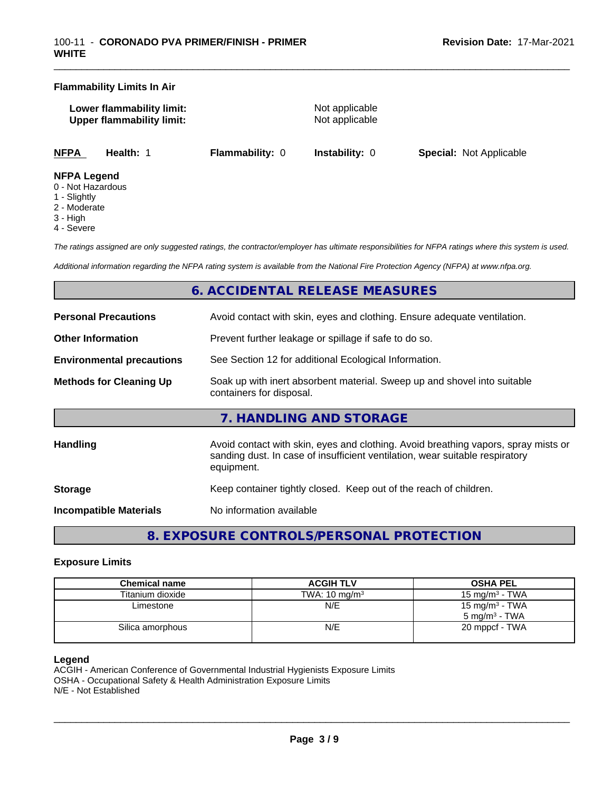#### **Flammability Limits In Air**

| Lower flammability limit:        |  |
|----------------------------------|--|
| <b>Upper flammability limit:</b> |  |

**Not applicable Not applicable** 

\_\_\_\_\_\_\_\_\_\_\_\_\_\_\_\_\_\_\_\_\_\_\_\_\_\_\_\_\_\_\_\_\_\_\_\_\_\_\_\_\_\_\_\_\_\_\_\_\_\_\_\_\_\_\_\_\_\_\_\_\_\_\_\_\_\_\_\_\_\_\_\_\_\_\_\_\_\_\_\_\_\_\_\_\_\_\_\_\_\_\_\_\_

**NFPA Health:** 1 **Flammability:** 0 **Instability:** 0 **Special:** Not Applicable

#### **NFPA Legend**

- 0 Not Hazardous
- 1 Slightly
- 2 Moderate
- 3 High
- 4 Severe

*The ratings assigned are only suggested ratings, the contractor/employer has ultimate responsibilities for NFPA ratings where this system is used.*

*Additional information regarding the NFPA rating system is available from the National Fire Protection Agency (NFPA) at www.nfpa.org.*

## **6. ACCIDENTAL RELEASE MEASURES**

| <b>Personal Precautions</b>      | Avoid contact with skin, eyes and clothing. Ensure adequate ventilation.                                                                                                         |
|----------------------------------|----------------------------------------------------------------------------------------------------------------------------------------------------------------------------------|
| <b>Other Information</b>         | Prevent further leakage or spillage if safe to do so.                                                                                                                            |
| <b>Environmental precautions</b> | See Section 12 for additional Ecological Information.                                                                                                                            |
| <b>Methods for Cleaning Up</b>   | Soak up with inert absorbent material. Sweep up and shovel into suitable<br>containers for disposal.                                                                             |
|                                  | 7. HANDLING AND STORAGE                                                                                                                                                          |
| Handling                         | Avoid contact with skin, eyes and clothing. Avoid breathing vapors, spray mists or<br>sanding dust. In case of insufficient ventilation, wear suitable respiratory<br>equipment. |
| <b>Storage</b>                   | Keep container tightly closed. Keep out of the reach of children.                                                                                                                |
|                                  |                                                                                                                                                                                  |

**Incompatible Materials** No information available

**8. EXPOSURE CONTROLS/PERSONAL PROTECTION**

#### **Exposure Limits**

| <b>Chemical name</b> | <b>ACGIH TLV</b>         | <b>OSHA PEL</b>                                        |
|----------------------|--------------------------|--------------------------------------------------------|
| Titanium dioxide     | TWA: $10 \text{ mg/m}^3$ | 15 mg/m $3$ - TWA                                      |
| Limestone            | N/E                      | 15 mg/m <sup>3</sup> - TWA<br>$5 \text{ mg/m}^3$ - TWA |
| Silica amorphous     | N/E                      | 20 mppcf - TWA                                         |

#### **Legend**

ACGIH - American Conference of Governmental Industrial Hygienists Exposure Limits OSHA - Occupational Safety & Health Administration Exposure Limits N/E - Not Established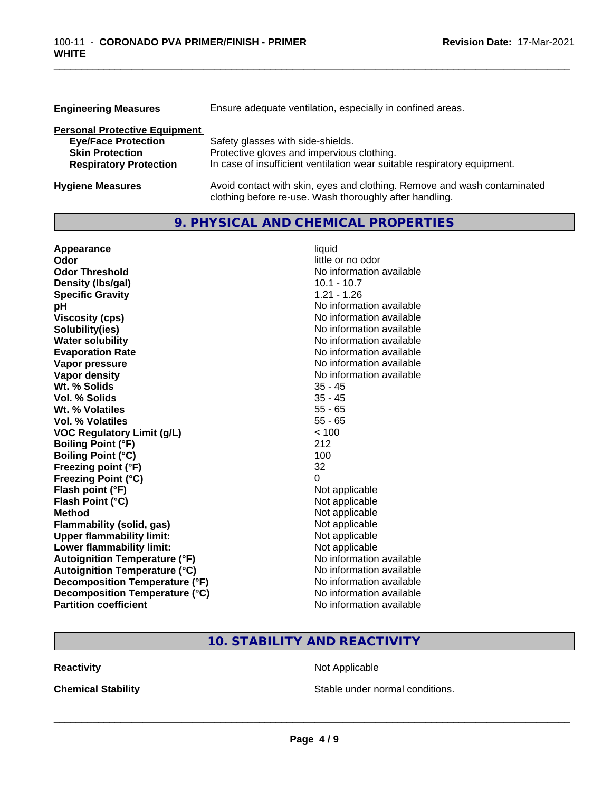| <b>Engineering Measures</b>                                                                                                   | Ensure adequate ventilation, especially in confined areas.                                                                                                  |
|-------------------------------------------------------------------------------------------------------------------------------|-------------------------------------------------------------------------------------------------------------------------------------------------------------|
| <b>Personal Protective Equipment</b><br><b>Eye/Face Protection</b><br><b>Skin Protection</b><br><b>Respiratory Protection</b> | Safety glasses with side-shields.<br>Protective gloves and impervious clothing.<br>In case of insufficient ventilation wear suitable respiratory equipment. |
| <b>Hygiene Measures</b>                                                                                                       | Avoid contact with skin, eyes and clothing. Remove and wash contaminated                                                                                    |

clothing before re-use. Wash thoroughly after handling.

\_\_\_\_\_\_\_\_\_\_\_\_\_\_\_\_\_\_\_\_\_\_\_\_\_\_\_\_\_\_\_\_\_\_\_\_\_\_\_\_\_\_\_\_\_\_\_\_\_\_\_\_\_\_\_\_\_\_\_\_\_\_\_\_\_\_\_\_\_\_\_\_\_\_\_\_\_\_\_\_\_\_\_\_\_\_\_\_\_\_\_\_\_

## **9. PHYSICAL AND CHEMICAL PROPERTIES**

| Appearance                           | liquid                   |
|--------------------------------------|--------------------------|
| Odor                                 | little or no odor        |
| <b>Odor Threshold</b>                | No information available |
| Density (Ibs/gal)                    | $10.1 - 10.7$            |
| <b>Specific Gravity</b>              | $1.21 - 1.26$            |
| рH                                   | No information available |
| <b>Viscosity (cps)</b>               | No information available |
| Solubility(ies)                      | No information available |
| <b>Water solubility</b>              | No information available |
| <b>Evaporation Rate</b>              | No information available |
| Vapor pressure                       | No information available |
| <b>Vapor density</b>                 | No information available |
| Wt. % Solids                         | $35 - 45$                |
| Vol. % Solids                        | $35 - 45$                |
| Wt. % Volatiles                      | $55 - 65$                |
| <b>Vol. % Volatiles</b>              | $55 - 65$                |
| <b>VOC Regulatory Limit (g/L)</b>    | < 100                    |
| <b>Boiling Point (°F)</b>            | 212                      |
| <b>Boiling Point (°C)</b>            | 100                      |
| Freezing point (°F)                  | 32                       |
| <b>Freezing Point (°C)</b>           | 0                        |
| Flash point (°F)                     | Not applicable           |
| Flash Point (°C)                     | Not applicable           |
| <b>Method</b>                        | Not applicable           |
| <b>Flammability (solid, gas)</b>     | Not applicable           |
| <b>Upper flammability limit:</b>     | Not applicable           |
| Lower flammability limit:            | Not applicable           |
| <b>Autoignition Temperature (°F)</b> | No information available |
| <b>Autoignition Temperature (°C)</b> | No information available |
| Decomposition Temperature (°F)       | No information available |
| Decomposition Temperature (°C)       | No information available |
| <b>Partition coefficient</b>         | No information available |

## **10. STABILITY AND REACTIVITY**

**Reactivity Not Applicable** Not Applicable

**Chemical Stability Chemical Stability** Stable under normal conditions.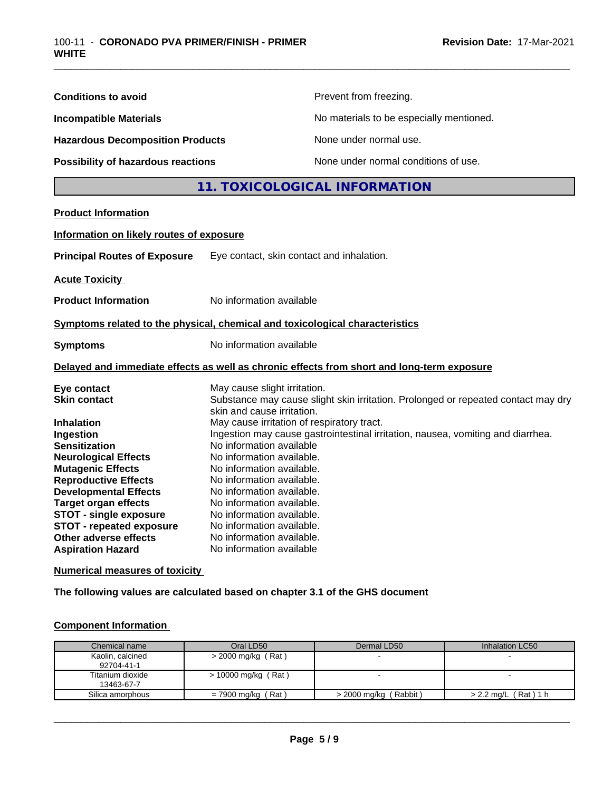| <b>Conditions to avoid</b>                                                                                                                                                                                                                                                              | Prevent from freezing.                                                                                                                                                                                                                                                                                                                                                                            |
|-----------------------------------------------------------------------------------------------------------------------------------------------------------------------------------------------------------------------------------------------------------------------------------------|---------------------------------------------------------------------------------------------------------------------------------------------------------------------------------------------------------------------------------------------------------------------------------------------------------------------------------------------------------------------------------------------------|
| <b>Incompatible Materials</b>                                                                                                                                                                                                                                                           | No materials to be especially mentioned.                                                                                                                                                                                                                                                                                                                                                          |
| <b>Hazardous Decomposition Products</b>                                                                                                                                                                                                                                                 | None under normal use.                                                                                                                                                                                                                                                                                                                                                                            |
| Possibility of hazardous reactions                                                                                                                                                                                                                                                      | None under normal conditions of use.                                                                                                                                                                                                                                                                                                                                                              |
|                                                                                                                                                                                                                                                                                         | 11. TOXICOLOGICAL INFORMATION                                                                                                                                                                                                                                                                                                                                                                     |
| <b>Product Information</b>                                                                                                                                                                                                                                                              |                                                                                                                                                                                                                                                                                                                                                                                                   |
| Information on likely routes of exposure                                                                                                                                                                                                                                                |                                                                                                                                                                                                                                                                                                                                                                                                   |
| <b>Principal Routes of Exposure</b>                                                                                                                                                                                                                                                     | Eye contact, skin contact and inhalation.                                                                                                                                                                                                                                                                                                                                                         |
| <b>Acute Toxicity</b>                                                                                                                                                                                                                                                                   |                                                                                                                                                                                                                                                                                                                                                                                                   |
| <b>Product Information</b>                                                                                                                                                                                                                                                              | No information available                                                                                                                                                                                                                                                                                                                                                                          |
|                                                                                                                                                                                                                                                                                         | Symptoms related to the physical, chemical and toxicological characteristics                                                                                                                                                                                                                                                                                                                      |
| <b>Symptoms</b>                                                                                                                                                                                                                                                                         | No information available                                                                                                                                                                                                                                                                                                                                                                          |
|                                                                                                                                                                                                                                                                                         | Delayed and immediate effects as well as chronic effects from short and long-term exposure                                                                                                                                                                                                                                                                                                        |
| Eye contact<br><b>Skin contact</b>                                                                                                                                                                                                                                                      | May cause slight irritation.<br>Substance may cause slight skin irritation. Prolonged or repeated contact may dry<br>skin and cause irritation.                                                                                                                                                                                                                                                   |
| Ingestion<br><b>Sensitization</b><br><b>Neurological Effects</b><br><b>Mutagenic Effects</b><br><b>Reproductive Effects</b><br><b>Developmental Effects</b><br><b>Target organ effects</b><br><b>STOT - single exposure</b><br><b>STOT - repeated exposure</b><br>Other adverse effects | May cause irritation of respiratory tract.<br>Ingestion may cause gastrointestinal irritation, nausea, vomiting and diarrhea.<br>No information available<br>No information available.<br>No information available.<br>No information available.<br>No information available.<br>No information available.<br>No information available.<br>No information available.<br>No information available. |
| <b>Aspiration Hazard</b><br><b>Numerical measures of toxicity</b>                                                                                                                                                                                                                       | No information available                                                                                                                                                                                                                                                                                                                                                                          |

\_\_\_\_\_\_\_\_\_\_\_\_\_\_\_\_\_\_\_\_\_\_\_\_\_\_\_\_\_\_\_\_\_\_\_\_\_\_\_\_\_\_\_\_\_\_\_\_\_\_\_\_\_\_\_\_\_\_\_\_\_\_\_\_\_\_\_\_\_\_\_\_\_\_\_\_\_\_\_\_\_\_\_\_\_\_\_\_\_\_\_\_\_

**The following values are calculated based on chapter 3.1 of the GHS document**

#### **Component Information**

| Chemical name                  | Oral LD50             | Dermal LD50             | Inhalation LC50        |
|--------------------------------|-----------------------|-------------------------|------------------------|
| Kaolin, calcined<br>92704-41-1 | $>$ 2000 mg/kg (Rat)  |                         |                        |
| Titanium dioxide<br>13463-67-7 | $> 10000$ mg/kg (Rat) |                         |                        |
| Silica amorphous               | = 7900 mg/kg (Rat)    | $>$ 2000 mg/kg (Rabbit) | $> 2.2$ mg/L (Rat) 1 h |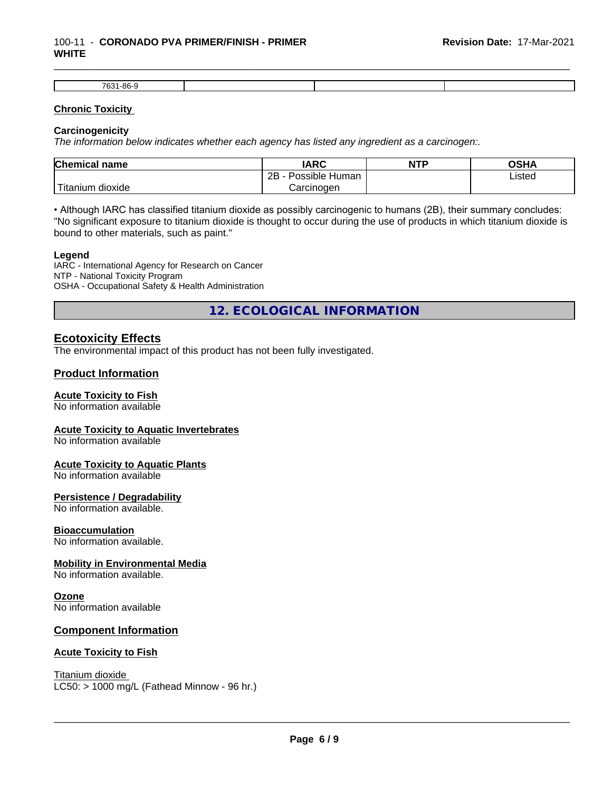#### 100-11 - **CORONADO PVA PRIMER/FINISH - PRIMER WHITE**

| 7631-86- |  |  |
|----------|--|--|

\_\_\_\_\_\_\_\_\_\_\_\_\_\_\_\_\_\_\_\_\_\_\_\_\_\_\_\_\_\_\_\_\_\_\_\_\_\_\_\_\_\_\_\_\_\_\_\_\_\_\_\_\_\_\_\_\_\_\_\_\_\_\_\_\_\_\_\_\_\_\_\_\_\_\_\_\_\_\_\_\_\_\_\_\_\_\_\_\_\_\_\_\_

#### **Chronic Toxicity**

#### **Carcinogenicity**

*The information below indicateswhether each agency has listed any ingredient as a carcinogen:.*

| <b>Chemical name</b>           | <b>IARC</b>                      | <b>NTP</b> | OSHA   |
|--------------------------------|----------------------------------|------------|--------|
|                                | . .<br>2B<br>: Human<br>Possible |            | Listed |
| .<br>dioxide<br><b>itanium</b> | Carcinoɑen                       |            |        |

• Although IARC has classified titanium dioxide as possibly carcinogenic to humans (2B), their summary concludes: "No significant exposure to titanium dioxide is thought to occur during the use of products in which titanium dioxide is bound to other materials, such as paint."

#### **Legend**

IARC - International Agency for Research on Cancer NTP - National Toxicity Program OSHA - Occupational Safety & Health Administration

**12. ECOLOGICAL INFORMATION**

### **Ecotoxicity Effects**

The environmental impact of this product has not been fully investigated.

#### **Product Information**

#### **Acute Toxicity to Fish**

No information available

#### **Acute Toxicity to Aquatic Invertebrates**

No information available

#### **Acute Toxicity to Aquatic Plants**

No information available

#### **Persistence / Degradability**

No information available.

#### **Bioaccumulation**

No information available.

#### **Mobility in Environmental Media**

No information available.

#### **Ozone**

No information available

#### **Component Information**

#### **Acute Toxicity to Fish**

Titanium dioxide  $LC50:$  > 1000 mg/L (Fathead Minnow - 96 hr.)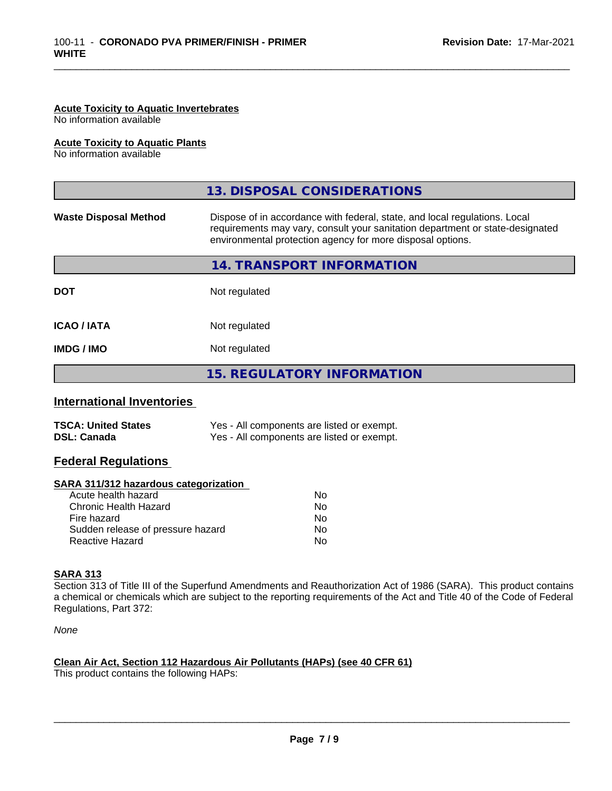#### **Acute Toxicity to Aquatic Invertebrates**

No information available

#### **Acute Toxicity to Aquatic Plants**

No information available

|                              | 13. DISPOSAL CONSIDERATIONS                                                                                                                                                                                               |  |
|------------------------------|---------------------------------------------------------------------------------------------------------------------------------------------------------------------------------------------------------------------------|--|
| <b>Waste Disposal Method</b> | Dispose of in accordance with federal, state, and local regulations. Local<br>requirements may vary, consult your sanitation department or state-designated<br>environmental protection agency for more disposal options. |  |
|                              | 14. TRANSPORT INFORMATION                                                                                                                                                                                                 |  |
| <b>DOT</b>                   | Not regulated                                                                                                                                                                                                             |  |
| <b>ICAO/IATA</b>             | Not regulated                                                                                                                                                                                                             |  |
| <b>IMDG/IMO</b>              | Not regulated                                                                                                                                                                                                             |  |
|                              | 15. REGULATORY INFORMATION                                                                                                                                                                                                |  |

\_\_\_\_\_\_\_\_\_\_\_\_\_\_\_\_\_\_\_\_\_\_\_\_\_\_\_\_\_\_\_\_\_\_\_\_\_\_\_\_\_\_\_\_\_\_\_\_\_\_\_\_\_\_\_\_\_\_\_\_\_\_\_\_\_\_\_\_\_\_\_\_\_\_\_\_\_\_\_\_\_\_\_\_\_\_\_\_\_\_\_\_\_

#### **International Inventories**

| <b>TSCA: United States</b> | Yes - All components are listed or exempt. |
|----------------------------|--------------------------------------------|
| <b>DSL: Canada</b>         | Yes - All components are listed or exempt. |

#### **Federal Regulations**

#### **SARA 311/312 hazardous categorization**

| No |
|----|
| Nο |
| No |
| Nο |
| N٥ |
|    |

#### **SARA 313**

Section 313 of Title III of the Superfund Amendments and Reauthorization Act of 1986 (SARA). This product contains a chemical or chemicals which are subject to the reporting requirements of the Act and Title 40 of the Code of Federal Regulations, Part 372:

*None*

#### **Clean Air Act,Section 112 Hazardous Air Pollutants (HAPs) (see 40 CFR 61)**

This product contains the following HAPs: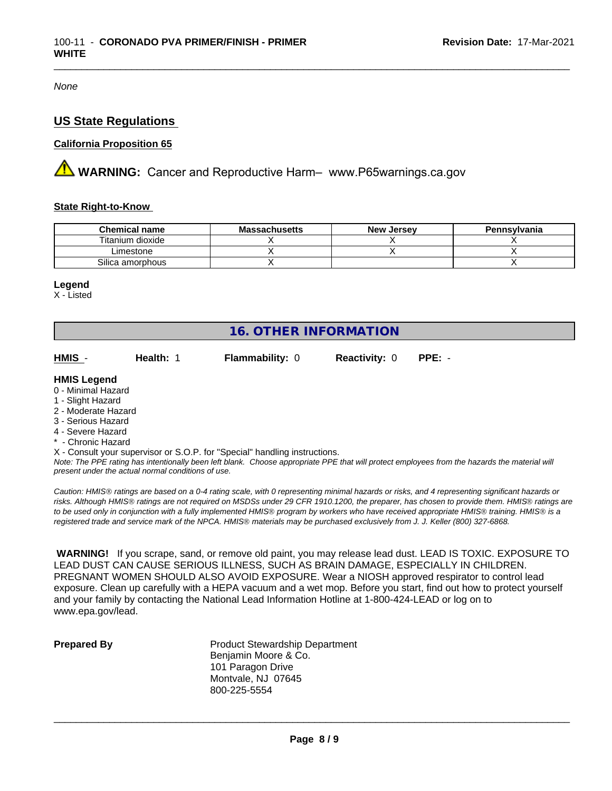*None*

### **US State Regulations**

#### **California Proposition 65**

**AN** WARNING: Cancer and Reproductive Harm– www.P65warnings.ca.gov

#### **State Right-to-Know**

| <b>Chemical name</b> | <b>Massachusetts</b> | <b>New Jersey</b> | Pennsylvania |
|----------------------|----------------------|-------------------|--------------|
| Titanium dioxide     |                      |                   |              |
| Limestone            |                      |                   |              |
| Silica amorphous     |                      |                   |              |

\_\_\_\_\_\_\_\_\_\_\_\_\_\_\_\_\_\_\_\_\_\_\_\_\_\_\_\_\_\_\_\_\_\_\_\_\_\_\_\_\_\_\_\_\_\_\_\_\_\_\_\_\_\_\_\_\_\_\_\_\_\_\_\_\_\_\_\_\_\_\_\_\_\_\_\_\_\_\_\_\_\_\_\_\_\_\_\_\_\_\_\_\_

#### **Legend**

X - Listed

| <b>16. OTHER INFORMATION</b>                                                                                                                          |           |                                                                                                                                               |                      |          |  |
|-------------------------------------------------------------------------------------------------------------------------------------------------------|-----------|-----------------------------------------------------------------------------------------------------------------------------------------------|----------------------|----------|--|
| HMIS -                                                                                                                                                | Health: 1 | <b>Flammability: 0</b>                                                                                                                        | <b>Reactivity: 0</b> | $PPE: -$ |  |
| <b>HMIS Legend</b><br>0 - Minimal Hazard<br>1 - Slight Hazard<br>2 - Moderate Hazard<br>3 - Serious Hazard<br>4 - Severe Hazard<br>* - Chronic Hazard |           |                                                                                                                                               |                      |          |  |
|                                                                                                                                                       |           | X - Consult your supervisor or S.O.P. for "Special" handling instructions.                                                                    |                      |          |  |
|                                                                                                                                                       |           | Note: The PPE rating has intentionally been left blank. Choose appropriate PPE that will protect employees from the hazards the material will |                      |          |  |

*present under the actual normal conditions of use.*

*Caution: HMISÒ ratings are based on a 0-4 rating scale, with 0 representing minimal hazards or risks, and 4 representing significant hazards or risks. Although HMISÒ ratings are not required on MSDSs under 29 CFR 1910.1200, the preparer, has chosen to provide them. HMISÒ ratings are to be used only in conjunction with a fully implemented HMISÒ program by workers who have received appropriate HMISÒ training. HMISÒ is a registered trade and service mark of the NPCA. HMISÒ materials may be purchased exclusively from J. J. Keller (800) 327-6868.*

 **WARNING!** If you scrape, sand, or remove old paint, you may release lead dust. LEAD IS TOXIC. EXPOSURE TO LEAD DUST CAN CAUSE SERIOUS ILLNESS, SUCH AS BRAIN DAMAGE, ESPECIALLY IN CHILDREN. PREGNANT WOMEN SHOULD ALSO AVOID EXPOSURE. Wear a NIOSH approved respirator to control lead exposure. Clean up carefully with a HEPA vacuum and a wet mop. Before you start, find out how to protect yourself and your family by contacting the National Lead Information Hotline at 1-800-424-LEAD or log on to www.epa.gov/lead.

**Prepared By** Product Stewardship Department Benjamin Moore & Co. 101 Paragon Drive Montvale, NJ 07645 800-225-5554